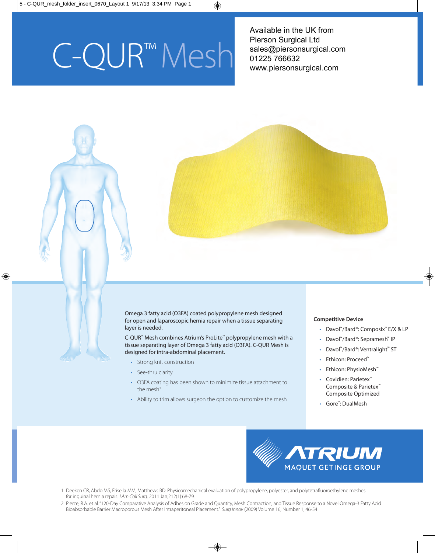# C-QUR™Mesh

 Available in the UK from Pierson Surgical Ltd sales@piersonsurgical.com 01225 766632 www.piersonsurgical.com

Omega 3 fatty acid (O3FA) coated polypropylene mesh designed for open and laparoscopic hernia repair when a tissue separating layer is needed.

C-QUR™ Mesh combines Atrium's ProLite™ polypropylene mesh with a tissue separating layer of Omega 3 fatty acid (O3FA). C-QUR Mesh is designed for intra-abdominal placement.

- Strong knit construction<sup>1</sup>
- See-thru clarity
- O3FA coating has been shown to minimize tissue attachment to the mesh $2$
- Ability to trim allows surgeon the option to customize the mesh

#### **Competitive Device**

- Davol™/Bard®: Composix™ E/X & LP
- Davol™/Bard®: Sepramesh™ IP
- Davol™/Bard®: Ventralight™ ST
- Ethicon: Proceed™
- Ethicon: PhysioMesh™
- Covidien: Parietex™ Composite & Parietex™ Composite Optimized
- Gore™: DualMesh



- 1. Deeken CR, Abdo MS, Frisella MM, Matthews BD. Physicomechanical evaluation of polypropylene, polyester, and polytetrafluoroethylene meshes for inguinal hernia repair. *J Am Coll Surg*. 2011 Jan;212(1):68-79.
- 2. Pierce, R.A. et al. "120-Day Comparative Analysis of Adhesion Grade and Quantity, Mesh Contraction, and Tissue Response to a Novel Omega-3 Fatty Acid Bioabsorbable Barrier Macroporous Mesh After Intraperitoneal Placement." *Surg Innov* (2009) Volume 16, Number 1, 46-54